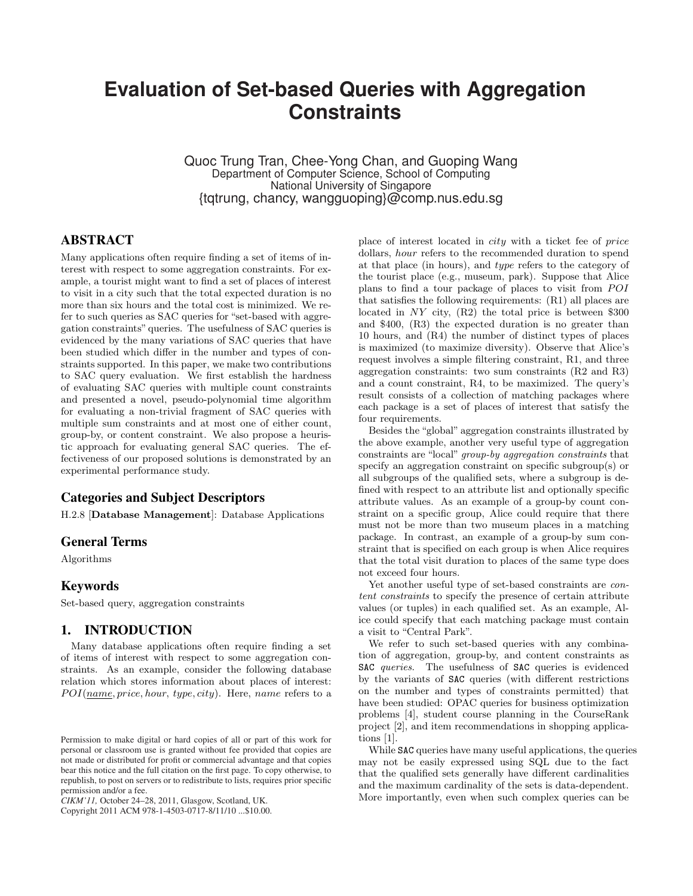# **Evaluation of Set-based Queries with Aggregation Constraints**

Quoc Trung Tran, Chee-Yong Chan, and Guoping Wang Department of Computer Science, School of Computing National University of Singapore {tqtrung, chancy, wangguoping}@comp.nus.edu.sg

# ABSTRACT

Many applications often require finding a set of items of interest with respect to some aggregation constraints. For example, a tourist might want to find a set of places of interest to visit in a city such that the total expected duration is no more than six hours and the total cost is minimized. We refer to such queries as SAC queries for "set-based with aggregation constraints" queries. The usefulness of SAC queries is evidenced by the many variations of SAC queries that have been studied which differ in the number and types of constraints supported. In this paper, we make two contributions to SAC query evaluation. We first establish the hardness of evaluating SAC queries with multiple count constraints and presented a novel, pseudo-polynomial time algorithm for evaluating a non-trivial fragment of SAC queries with multiple sum constraints and at most one of either count, group-by, or content constraint. We also propose a heuristic approach for evaluating general SAC queries. The effectiveness of our proposed solutions is demonstrated by an experimental performance study.

# Categories and Subject Descriptors

H.2.8 [Database Management]: Database Applications

#### General Terms

Algorithms

# Keywords

Set-based query, aggregation constraints

# 1. INTRODUCTION

Many database applications often require finding a set of items of interest with respect to some aggregation constraints. As an example, consider the following database relation which stores information about places of interest:  $POI(name, price, hour, type, city)$ . Here, name refers to a

Copyright 2011 ACM 978-1-4503-0717-8/11/10 ...\$10.00.

place of interest located in city with a ticket fee of price dollars, hour refers to the recommended duration to spend at that place (in hours), and type refers to the category of the tourist place (e.g., museum, park). Suppose that Alice plans to find a tour package of places to visit from POI that satisfies the following requirements: (R1) all places are located in NY city, (R2) the total price is between \$300 and \$400, (R3) the expected duration is no greater than 10 hours, and (R4) the number of distinct types of places is maximized (to maximize diversity). Observe that Alice's request involves a simple filtering constraint, R1, and three aggregation constraints: two sum constraints (R2 and R3) and a count constraint, R4, to be maximized. The query's result consists of a collection of matching packages where each package is a set of places of interest that satisfy the four requirements.

Besides the "global" aggregation constraints illustrated by the above example, another very useful type of aggregation constraints are "local" group-by aggregation constraints that specify an aggregation constraint on specific subgroup(s) or all subgroups of the qualified sets, where a subgroup is defined with respect to an attribute list and optionally specific attribute values. As an example of a group-by count constraint on a specific group, Alice could require that there must not be more than two museum places in a matching package. In contrast, an example of a group-by sum constraint that is specified on each group is when Alice requires that the total visit duration to places of the same type does not exceed four hours.

Yet another useful type of set-based constraints are content constraints to specify the presence of certain attribute values (or tuples) in each qualified set. As an example, Alice could specify that each matching package must contain a visit to "Central Park".

We refer to such set-based queries with any combination of aggregation, group-by, and content constraints as SAC *queries*. The usefulness of SAC queries is evidenced by the variants of SAC queries (with different restrictions on the number and types of constraints permitted) that have been studied: OPAC queries for business optimization problems [4], student course planning in the CourseRank project [2], and item recommendations in shopping applications [1].

While SAC queries have many useful applications, the queries may not be easily expressed using SQL due to the fact that the qualified sets generally have different cardinalities and the maximum cardinality of the sets is data-dependent. More importantly, even when such complex queries can be

Permission to make digital or hard copies of all or part of this work for personal or classroom use is granted without fee provided that copies are not made or distributed for profit or commercial advantage and that copies bear this notice and the full citation on the first page. To copy otherwise, to republish, to post on servers or to redistribute to lists, requires prior specific permission and/or a fee.

*CIKM'11,* October 24–28, 2011, Glasgow, Scotland, UK.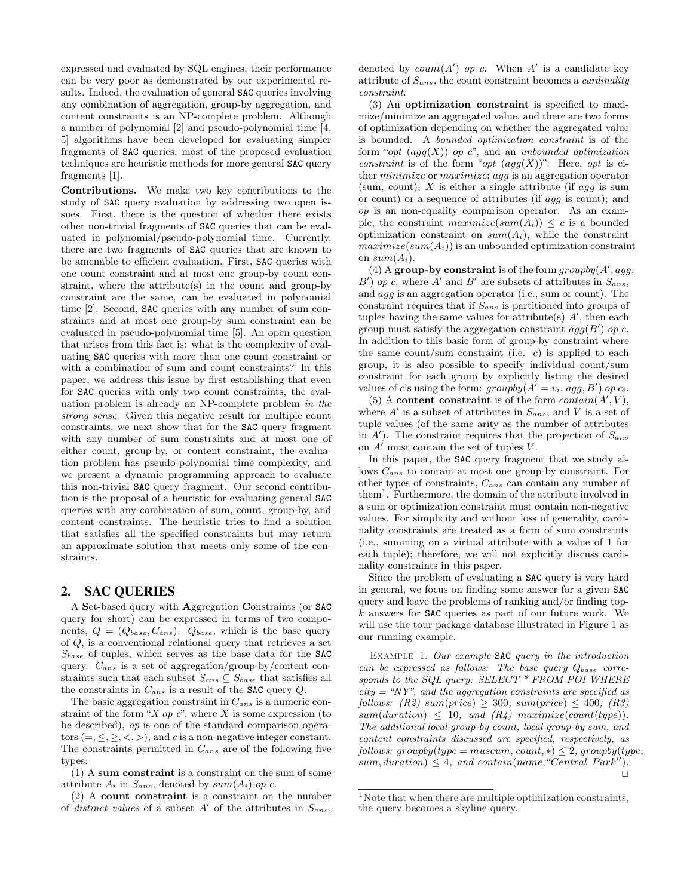expressed and evaluated by SQL engines, their performance can be very poor as demonstrated by our experimental results. Indeed, the evaluation of general SAC queries involving any combination of aggregation, group-by aggregation, and content constraints is an NP-complete problem. Although a number of polynomial [2] and pseudo-polynomial time [4, 5] algorithms have been developed for evaluating simpler fragments of SAC queries, most of the proposed evaluation techniques are heuristic methods for more general SAC query fragments [1].

Contributions. We make two key contributions to the study of SAC query evaluation by addressing two open issues. First, there is the question of whether there exists other non-trivial fragments of SAC queries that can be evaluated in polynomial/pseudo-polynomial time. Currently, there are two fragments of SAC queries that are known to be amenable to efficient evaluation. First, SAC queries with one count constraint and at most one group-by count constraint, where the attribute(s) in the count and group-by constraint are the same, can be evaluated in polynomial time [2]. Second, SAC queries with any number of sum constraints and at most one group-by sum constraint can be evaluated in pseudo-polynomial time [5]. An open question that arises from this fact is: what is the complexity of evaluating SAC queries with more than one count constraint or with a combination of sum and count constraints? In this paper, we address this issue by first establishing that even for SAC queries with only two count constraints, the evaluation problem is already an NP-complete problem in the strong sense. Given this negative result for multiple count constraints, we next show that for the SAC query fragment with any number of sum constraints and at most one of either count, group-by, or content constraint, the evaluation problem has pseudo-polynomial time complexity, and we present a dynamic programming approach to evaluate this non-trivial SAC query fragment. Our second contribution is the proposal of a heuristic for evaluating general SAC queries with any combination of sum, count, group-by, and content constraints. The heuristic tries to find a solution that satisfies all the specified constraints but may return an approximate solution that meets only some of the constraints.

# 2. SAC QUERIES

A Set-based query with Aggregation Constraints (or SAC query for short) can be expressed in terms of two components,  $Q = (Q_{base}, C_{ans})$ .  $Q_{base}$ , which is the base query of Q, is a conventional relational query that retrieves a set  $S_{base}$  of tuples, which serves as the base data for the SAC query.  $C_{ans}$  is a set of aggregation/group-by/content constraints such that each subset  $S_{ans} \subseteq S_{base}$  that satisfies all the constraints in  $C_{ans}$  is a result of the SAC query Q.

The basic aggregation constraint in  $C_{ans}$  is a numeric constraint of the form "X op c", where X is some expression (to be described), op is one of the standard comparison operators  $(=, \leq, \geq, \lt,, >)$ , and c is a non-negative integer constant. The constraints permitted in  $C_{ans}$  are of the following five types:

(1) A sum constraint is a constraint on the sum of some attribute  $A_i$  in  $S_{ans}$ , denoted by  $sum(A_i)$  op c.

(2) A count constraint is a constraint on the number of *distinct values* of a subset  $A'$  of the attributes in  $S_{ans}$ ,

denoted by  $count(A')$  op c. When A' is a candidate key attribute of  $S_{ans}$ , the count constraint becomes a *cardinality* constraint.

(3) An optimization constraint is specified to maximize/minimize an aggregated value, and there are two forms of optimization depending on whether the aggregated value is bounded. A bounded optimization constraint is of the form "opt  $(agg(X))$  op c", and an unbounded optimization *constraint* is of the form "*opt*  $(agg(X))$ ". Here, *opt* is either minimize or maximize; agg is an aggregation operator (sum, count);  $X$  is either a single attribute (if  $agg$  is sum or count) or a sequence of attributes (if agg is count); and op is an non-equality comparison operator. As an example, the constraint  $maximize(sum(A_i)) \leq c$  is a bounded optimization constraint on  $sum(A_i)$ , while the constraint  $maximize(sum(A_i))$  is an unbounded optimization constraint on  $sum(A_i)$ .

(4) A group-by constraint is of the form  $groupby(A',agg,$  $B'$ ) op c, where A' and B' are subsets of attributes in  $S_{ans}$ , and agg is an aggregation operator (i.e., sum or count). The constraint requires that if  $S_{ans}$  is partitioned into groups of tuples having the same values for attribute(s)  $A'$ , then each group must satisfy the aggregation constraint  $agg(B')$  op c. In addition to this basic form of group-by constraint where the same count/sum constraint (i.e.  $c$ ) is applied to each group, it is also possible to specify individual count/sum constraint for each group by explicitly listing the desired values of c's using the form:  $groupby(A' = v_i, agg, B')$  op  $c_i$ .

(5) A content constraint is of the form  $contain(A', V)$ , where  $A'$  is a subset of attributes in  $S_{ans}$ , and V is a set of tuple values (of the same arity as the number of attributes in  $A'$ ). The constraint requires that the projection of  $S_{ans}$ on  $A'$  must contain the set of tuples V.

In this paper, the SAC query fragment that we study allows  $C_{ans}$  to contain at most one group-by constraint. For other types of constraints,  $C_{ans}$  can contain any number of them<sup>1</sup>. Furthermore, the domain of the attribute involved in a sum or optimization constraint must contain non-negative values. For simplicity and without loss of generality, cardinality constraints are treated as a form of sum constraints (i.e., summing on a virtual attribute with a value of 1 for each tuple); therefore, we will not explicitly discuss cardinality constraints in this paper.

Since the problem of evaluating a SAC query is very hard in general, we focus on finding some answer for a given SAC query and leave the problems of ranking and/or finding topk answers for SAC queries as part of our future work. We will use the tour package database illustrated in Figure 1 as our running example.

EXAMPLE 1. Our example SAC query in the introduction can be expressed as follows: The base query  $Q_{base}$  corresponds to the SQL query: SELECT \* FROM POI WHERE  $city = "NY"$ , and the aggregation constraints are specified as follows: (R2) sum(price)  $\geq$  300, sum(price)  $\leq$  400; (R3)  $sum(duration) \leq 10$ ; and  $(R4)$  maximize(count(type)). The additional local group-by count, local group-by sum, and content constraints discussed are specified, respectively, as  $follows: groupby(type = museum, count, *) \leq 2, groupby(type,$ sum, duration)  $\leq 4$ , and contain(name, "Central Park").  $\Box$ 

<sup>&</sup>lt;sup>1</sup>Note that when there are multiple optimization constraints, the query becomes a skyline query.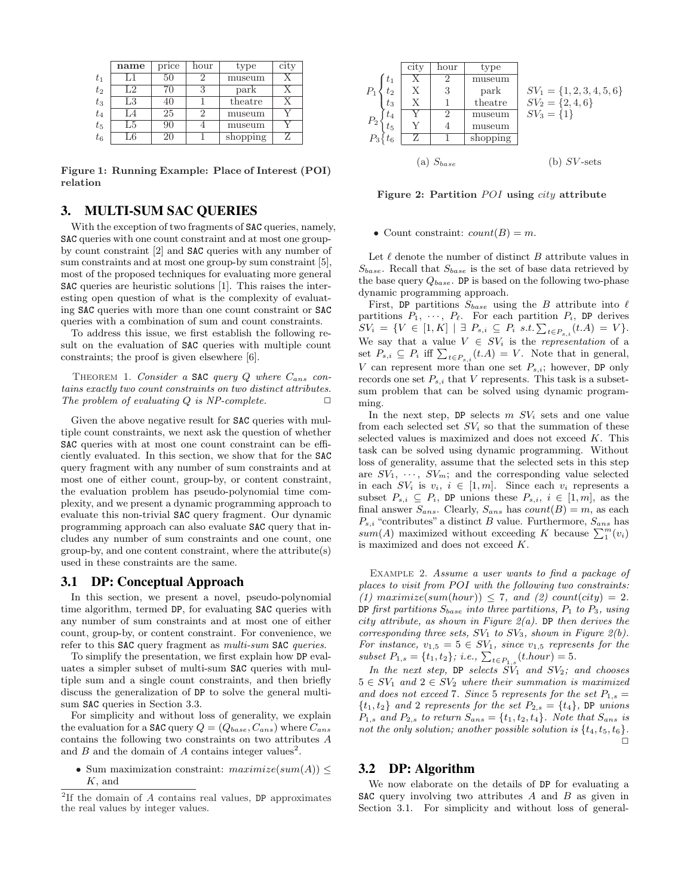|         | name | price | hour | type     | city |
|---------|------|-------|------|----------|------|
| $t_1$   | L 1  | 50    |      | museum   |      |
| $t_2$   | L2   | 70    |      | park     |      |
| $t_3$   | L3   | 40    |      | theatre  |      |
| $t_4$   | L4   | 25    |      | museum   |      |
| $t_{5}$ | L5   | 90    |      | museum   |      |
| $t_6$   |      | 20    |      | shopping |      |

Figure 1: Running Example: Place of Interest (POI) relation

# 3. MULTI-SUM SAC QUERIES

With the exception of two fragments of **SAC** queries, namely, SAC queries with one count constraint and at most one groupby count constraint [2] and SAC queries with any number of sum constraints and at most one group-by sum constraint [5], most of the proposed techniques for evaluating more general SAC queries are heuristic solutions [1]. This raises the interesting open question of what is the complexity of evaluating SAC queries with more than one count constraint or SAC queries with a combination of sum and count constraints.

To address this issue, we first establish the following result on the evaluation of SAC queries with multiple count constraints; the proof is given elsewhere [6].

THEOREM 1. Consider a SAC query  $Q$  where  $C_{ans}$  contains exactly two count constraints on two distinct attributes. The problem of evaluating  $Q$  is NP-complete.  $\Box$ 

Given the above negative result for SAC queries with multiple count constraints, we next ask the question of whether SAC queries with at most one count constraint can be efficiently evaluated. In this section, we show that for the SAC query fragment with any number of sum constraints and at most one of either count, group-by, or content constraint, the evaluation problem has pseudo-polynomial time complexity, and we present a dynamic programming approach to evaluate this non-trivial SAC query fragment. Our dynamic programming approach can also evaluate SAC query that includes any number of sum constraints and one count, one group-by, and one content constraint, where the attribute(s) used in these constraints are the same.

## 3.1 DP: Conceptual Approach

In this section, we present a novel, pseudo-polynomial time algorithm, termed DP, for evaluating SAC queries with any number of sum constraints and at most one of either count, group-by, or content constraint. For convenience, we refer to this SAC query fragment as multi-sum SAC queries.

To simplify the presentation, we first explain how DP evaluates a simpler subset of multi-sum SAC queries with multiple sum and a single count constraints, and then briefly discuss the generalization of DP to solve the general multisum SAC queries in Section 3.3.

For simplicity and without loss of generality, we explain the evaluation for a SAC query  $Q = (Q_{base}, C_{ans})$  where  $C_{ans}$ contains the following two constraints on two attributes A and  $B$  and the domain of  $A$  contains integer values<sup>2</sup>.

• Sum maximization constraint:  $maximize(sum(A)) \leq$ K, and



Figure 2: Partition  $POI$  using  $city$  attribute

• Count constraint:  $count(B) = m$ .

Let  $\ell$  denote the number of distinct  $B$  attribute values in  $S_{base}$ . Recall that  $S_{base}$  is the set of base data retrieved by the base query  $Q_{base}$ . DP is based on the following two-phase dynamic programming approach.

First, DP partitions  $S_{base}$  using the B attribute into  $\ell$ partitions  $P_1, \cdots, P_\ell$ . For each partition  $P_i$ , DP derives partitions  $P_1, \dots, P_\ell$ . For each partition  $P_i$ , be derives<br>  $SV_i = \{ V \in [1, K] \mid \exists P_{s,i} \subseteq P_i \text{ s.t. } \sum_{t \in P_{s,i}} (t.A) = V \}.$ We say that a value  $V \in SV_i$  is the *representation* of a we say that a value  $V \in SV_i$  is the *representation* of a set  $P_{s,i} \subseteq P_i$  iff  $\sum_{t \in P_{s,i}} (t.A) = V$ . Note that in general, V can represent more than one set  $P_{s,i}$ ; however, DP only records one set  $P_{s,i}$  that V represents. This task is a subsetsum problem that can be solved using dynamic programming.

In the next step, DP selects  $m$  SV<sub>i</sub> sets and one value from each selected set  $SV_i$  so that the summation of these selected values is maximized and does not exceed K. This task can be solved using dynamic programming. Without loss of generality, assume that the selected sets in this step are  $SV_1, \cdots, SV_m$ ; and the corresponding value selected in each  $SV_i$  is  $v_i, i \in [1, m]$ . Since each  $v_i$  represents a subset  $P_{s,i} \subseteq P_i$ , DP unions these  $P_{s,i}$ ,  $i \in [1,m]$ , as the final answer  $S_{ans}$ . Clearly,  $S_{ans}$  has  $count(B) = m$ , as each  $P_{s,i}$  "contributes" a distinct B value. Furthermore,  $S_{ans}$  has  $F_{s,i}$  contributes a distinct *B* value. Furthermore,  $S_{ans}$  has  $sum(A)$  maximized without exceeding *K* because  $\sum_{1}^{m} (v_i)$ is maximized and does not exceed K.

EXAMPLE 2. Assume a user wants to find a package of places to visit from  $POI$  with the following two constraints: (1) maximize(sum(hour))  $\leq 7$ , and (2) count(city) = 2. DP first partitions  $S_{base}$  into three partitions,  $P_1$  to  $P_3$ , using city attribute, as shown in Figure  $2(a)$ . DP then derives the corresponding three sets,  $SV_1$  to  $SV_3$ , shown in Figure 2(b). For instance,  $v_{1,5} = 5 \in SV_1$ , since  $v_{1,5}$  represents for the For instance,  $v_{1,5} = 3 \in SV_1$ , since  $v_{1,5}$  repres<br>subset  $P_{1,s} = \{t_1, t_2\}$ ; i.e.,  $\sum_{t \in P_{1,s}} (t \cdot hour) = 5$ .

In the next step, DP selects  $SV_1$  and  $SV_2$ ; and chooses  $5 \in SV_1$  and  $2 \in SV_2$  where their summation is maximized and does not exceed 7. Since 5 represents for the set  $P_{1,s}$  =  $\{t_1, t_2\}$  and 2 represents for the set  $P_{2,s} = \{t_4\}$ , DP unions  $P_{1,s}$  and  $P_{2,s}$  to return  $S_{ans} = \{t_1, t_2, t_4\}$ . Note that  $S_{ans}$  is not the only solution; another possible solution is  $\{t_4, t_5, t_6\}$ .  $\Box$ 

# 3.2 DP: Algorithm

We now elaborate on the details of DP for evaluating a SAC query involving two attributes  $A$  and  $B$  as given in Section 3.1. For simplicity and without loss of general-

<sup>2</sup> If the domain of A contains real values, DP approximates the real values by integer values.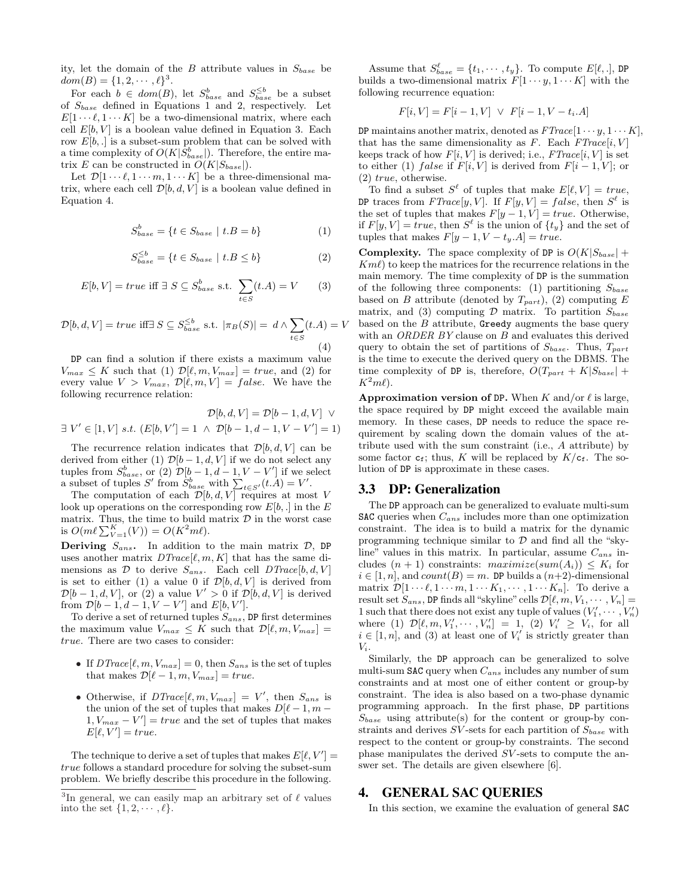ity, let the domain of the  $B$  attribute values in  $S_{base}$  be  $dom(B) = \{1, 2, \cdots, \ell\}^3$ .

For each  $b \in dom(B)$ , let  $S_{base}^b$  and  $S_{base}^{\leq b}$  be a subset of  $S_{base}$  defined in Equations 1 and 2, respectively. Let  $E[1 \cdots \ell, 1 \cdots K]$  be a two-dimensional matrix, where each cell  $E[b, V]$  is a boolean value defined in Equation 3. Each row  $E[b, .]$  is a subset-sum problem that can be solved with a time complexity of  $O(K|\overline{S}_{base}^b|)$ . Therefore, the entire matrix E can be constructed in  $O(K|S_{base}|)$ .

Let  $\mathcal{D}[1 \cdots \ell, 1 \cdots m, 1 \cdots K]$  be a three-dimensional matrix, where each cell  $\mathcal{D}[b, d, V]$  is a boolean value defined in Equation 4.

$$
S_{base}^b = \{ t \in S_{base} \mid t.B = b \}
$$
 (1)

$$
S_{base}^{\leq b} = \{ t \in S_{base} \mid t.B \leq b \}
$$
 (2)

$$
E[b, V] = true \text{ iff } \exists S \subseteq S_{base}^{b} \text{ s.t. } \sum_{t \in S} (t.A) = V \qquad (3)
$$

 $\mathcal{D}[b, d, V] = true \text{ iff } S \subseteq S_{base}^{\leq b} \text{ s.t. } |\pi_B(S)| = d \wedge$  $\overline{\phantom{a}}$ t∈S  $(t.A) = V$ (4)

DP can find a solution if there exists a maximum value  $V_{max} \leq K$  such that (1)  $\mathcal{D}[\ell, m, V_{max}] = true$ , and (2) for every value  $V > V_{max}$ ,  $\mathcal{D}[\ell, m, V] = false$ . We have the following recurrence relation:

$$
\mathcal{D}[b, d, V] = \mathcal{D}[b-1, d, V] \quad \forall
$$
  

$$
\exists V' \in [1, V] \ s.t. \ (E[b, V'] = 1 \ \land \ \mathcal{D}[b-1, d-1, V-V'] = 1)
$$

The recurrence relation indicates that  $\mathcal{D}[b, d, V]$  can be derived from either (1)  $\mathcal{D}[b-1, d, V]$  if we do not select any tuples from  $S_{base}^b$ , or (2)  $\mathcal{D}[b-1, d-1, V-V']$  if we select tuples from  $S_{base}$ , or (2)  $\nu[0-1, a-1, v-v]$  if we sa subset of tuples S' from  $S_{base}^b$  with  $\sum_{t \in S'} (t.A) = V'.$ 

The computation of each  $\mathcal{D}[b, d, V]$  requires at most V look up operations on the corresponding row  $E[b, .]$  in the E matrix. Thus, the time to build matrix  $D$  in the worst case matrix. Thus, the time to build is  $O(m\ell \sum_{V=1}^{K}(V)) = O(K^2m\ell)$ .

**Deriving**  $S_{ans}$ . In addition to the main matrix  $D$ , DP uses another matrix  $DTrace[\ell, m, K]$  that has the same dimensions as  $D$  to derive  $S_{ans}$ . Each cell  $DTrace[b, d, V]$ is set to either (1) a value 0 if  $\mathcal{D}[b, d, V]$  is derived from  $\mathcal{D}[b-1, d, V]$ , or  $(2)$  a value  $V' > 0$  if  $\mathcal{D}[b, d, V]$  is derived from  $\mathcal{D}[b-1, d-1, V-V']$  and  $E[b, V']$ .

To derive a set of returned tuples  $S_{ans}$ , DP first determines the maximum value  $V_{max} \leq K$  such that  $\mathcal{D}[\ell, m, V_{max}] =$ true. There are two cases to consider:

- If  $DTrac[\ell, m, V_{max}] = 0$ , then  $S_{ans}$  is the set of tuples that makes  $\mathcal{D}[\ell - 1, m, V_{max}] = true.$
- Otherwise, if  $DTrace[\ell, m, V_{max}] = V'$ , then  $S_{ans}$  is the union of the set of tuples that makes  $D[\ell - 1, m 1, V_{max} - V'$  = true and the set of tuples that makes  $E[\ell, V'] = true.$

The technique to derive a set of tuples that makes  $E[\ell, V'] =$ true follows a standard procedure for solving the subset-sum problem. We briefly describe this procedure in the following.

Assume that  $S_{base}^{\ell} = \{t_1, \cdots, t_y\}$ . To compute  $E[\ell, .]$ , DP builds a two-dimensional matrix  $F[1 \cdots y, 1 \cdots K]$  with the following recurrence equation:

$$
F[i, V] = F[i - 1, V] \lor F[i - 1, V - t_i.A]
$$

DP maintains another matrix, denoted as  $FTrace[1 \cdots y, 1 \cdots K],$ that has the same dimensionality as  $F$ . Each  $FTrace[i, V]$ keeps track of how  $F[i, V]$  is derived; i.e.,  $FTrace[i, V]$  is set to either (1) false if  $F[i, V]$  is derived from  $F[i - 1, V]$ ; or (2) true, otherwise.

To find a subset  $S^{\ell}$  of tuples that make  $E[\ell, V] = true$ , DP traces from  $FTrace[y, V]$ . If  $F[y, V] = false$ , then  $S^{\ell}$  is the set of tuples that makes  $F[y - 1, V] = true$ . Otherwise, if  $F[y, V] = true$ , then  $S^{\ell}$  is the union of  $\{t_y\}$  and the set of tuples that makes  $F[y-1, V-t_y.A] = true.$ 

**Complexity.** The space complexity of DP is  $O(K|S_{base}| +$  $Km\ell$ ) to keep the matrices for the recurrence relations in the main memory. The time complexity of DP is the summation of the following three components: (1) partitioning  $S_{base}$ based on B attribute (denoted by  $T_{part}$ ), (2) computing E matrix, and (3) computing  $D$  matrix. To partition  $S_{base}$ based on the  $B$  attribute, Greedy augments the base query with an  $ORDER$  BY clause on  $B$  and evaluates this derived query to obtain the set of partitions of  $S_{base}$ . Thus,  $T_{part}$ is the time to execute the derived query on the DBMS. The time complexity of DP is, therefore,  $O(T_{part} + K|S_{base}| +$  $K^2m\ell$ ).

Approximation version of DP. When  $K$  and/or  $\ell$  is large, the space required by DP might exceed the available main memory. In these cases, DP needs to reduce the space requirement by scaling down the domain values of the attribute used with the sum constraint (i.e., A attribute) by some factor  $c_f$ ; thus, K will be replaced by  $K/c_f$ . The solution of DP is approximate in these cases.

#### 3.3 DP: Generalization

The DP approach can be generalized to evaluate multi-sum SAC queries when  $C_{ans}$  includes more than one optimization constraint. The idea is to build a matrix for the dynamic programming technique similar to  $D$  and find all the "skyline" values in this matrix. In particular, assume  $C_{ans}$  includes  $(n + 1)$  constraints:  $maximize(sum(A_i)) \leq K_i$  for  $i \in [1, n]$ , and  $count(B) = m$ . DP builds a  $(n+2)$ -dimensional matrix  $\mathcal{D}[1 \cdots \ell, 1 \cdots m, 1 \cdots K_1, \cdots, 1 \cdots K_n]$ . To derive a result set  $S_{ans}$ , DP finds all "skyline" cells  $\mathcal{D}[\ell, m, V_1, \cdots, V_n] =$ 1 such that there does not exist any tuple of values  $(V'_1, \cdots, V'_n)$ where (1)  $\mathcal{D}[\ell, m, V'_1, \cdots, V'_n] = 1, (2) V'_i \geq V_i$ , for all  $i \in [1, n]$ , and (3) at least one of  $V_i'$  is strictly greater than  $V_i$ .

Similarly, the DP approach can be generalized to solve multi-sum SAC query when  $C_{ans}$  includes any number of sum constraints and at most one of either content or group-by constraint. The idea is also based on a two-phase dynamic programming approach. In the first phase, DP partitions  $S_{base}$  using attribute(s) for the content or group-by constraints and derives  $SV$ -sets for each partition of  $S_{base}$  with respect to the content or group-by constraints. The second phase manipulates the derived SV -sets to compute the answer set. The details are given elsewhere [6].

# 4. GENERAL SAC QUERIES

In this section, we examine the evaluation of general SAC

<sup>&</sup>lt;sup>3</sup>In general, we can easily map an arbitrary set of  $\ell$  values into the set  $\{1, 2, \cdots, \ell\}.$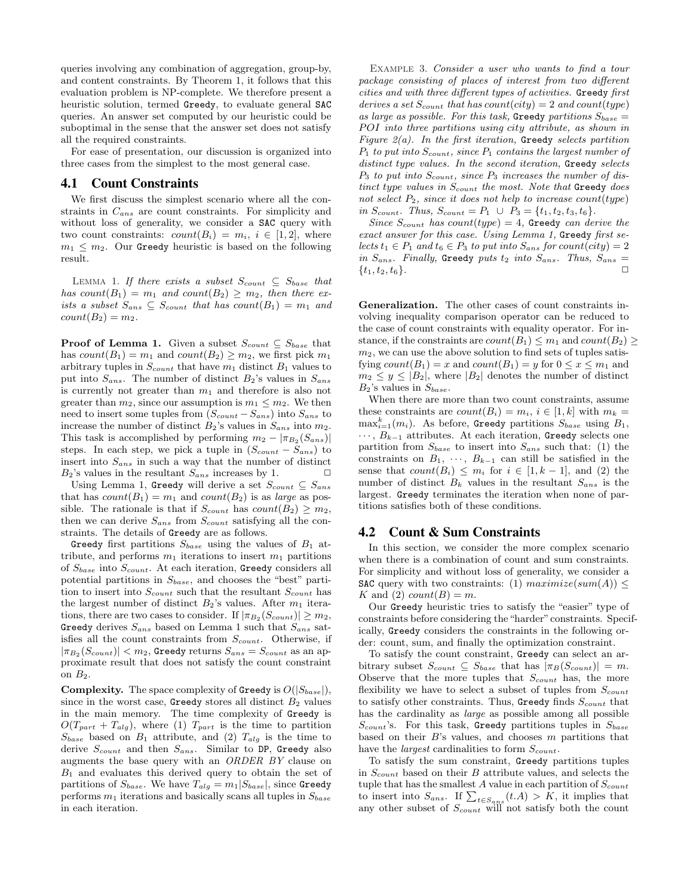queries involving any combination of aggregation, group-by, and content constraints. By Theorem 1, it follows that this evaluation problem is NP-complete. We therefore present a heuristic solution, termed Greedy, to evaluate general SAC queries. An answer set computed by our heuristic could be suboptimal in the sense that the answer set does not satisfy all the required constraints.

For ease of presentation, our discussion is organized into three cases from the simplest to the most general case.

#### 4.1 Count Constraints

We first discuss the simplest scenario where all the constraints in  $C_{ans}$  are count constraints. For simplicity and without loss of generality, we consider a SAC query with two count constraints:  $count(B_i) = m_i, i \in [1, 2],$  where  $m_1 \leq m_2$ . Our Greedy heuristic is based on the following result.

LEMMA 1. If there exists a subset  $S_{count} \subseteq S_{base}$  that has count( $B_1$ ) =  $m_1$  and count( $B_2$ )  $\geq m_2$ , then there exists a subset  $S_{ans} \subseteq S_{count}$  that has  $count(B_1) = m_1$  and  $count(B_2) = m_2.$ 

**Proof of Lemma 1.** Given a subset  $S_{count} \subseteq S_{base}$  that has  $count(B_1) = m_1$  and  $count(B_2) \geq m_2$ , we first pick  $m_1$ arbitrary tuples in  $S_{count}$  that have  $m_1$  distinct  $B_1$  values to put into  $S_{ans}$ . The number of distinct  $B_2$ 's values in  $S_{ans}$ is currently not greater than  $m_1$  and therefore is also not greater than  $m_2$ , since our assumption is  $m_1 \leq m_2$ . We then need to insert some tuples from  $(S_{count} - S_{ans})$  into  $S_{ans}$  to increase the number of distinct  $B_2$ 's values in  $S_{ans}$  into  $m_2$ . This task is accomplished by performing  $m_2 - |\pi_{B_2}(S_{ans})|$ steps. In each step, we pick a tuple in  $(S_{count} - S_{ans})$  to insert into  $S_{ans}$  in such a way that the number of distinct  $B_2$ 's values in the resultant  $S_{ans}$  increases by 1.  $\Box$ 

Using Lemma 1, Greedy will derive a set  $S_{count} \subseteq S_{ans}$ that has  $count(B_1) = m_1$  and  $count(B_2)$  is as large as possible. The rationale is that if  $S_{count}$  has  $count(B_2) \geq m_2$ , then we can derive  $S_{ans}$  from  $S_{count}$  satisfying all the constraints. The details of Greedy are as follows.

Greedy first partitions  $S_{base}$  using the values of  $B_1$  attribute, and performs  $m_1$  iterations to insert  $m_1$  partitions of  $S_{base}$  into  $S_{count}$ . At each iteration, Greedy considers all potential partitions in  $S_{base}$ , and chooses the "best" partition to insert into  $S_{count}$  such that the resultant  $S_{count}$  has the largest number of distinct  $B_2$ 's values. After  $m_1$  iterations, there are two cases to consider. If  $|\pi_{B_2}(S_{count})| \ge m_2$ , Greedy derives  $S_{ans}$  based on Lemma 1 such that  $S_{ans}$  satisfies all the count constraints from  $S_{count}$ . Otherwise, if  $|\pi_{B_2}(S_{count})| < m_2$ , Greedy returns  $S_{ans} = S_{count}$  as an approximate result that does not satisfy the count constraint on  $B_2$ .

**Complexity.** The space complexity of Greedy is  $O(|S_{base}|)$ , since in the worst case, Greedy stores all distinct  $B_2$  values in the main memory. The time complexity of Greedy is  $O(T_{part} + T_{alg})$ , where (1)  $T_{part}$  is the time to partition  $S_{base}$  based on  $B_1$  attribute, and (2)  $T_{alg}$  is the time to derive  $S_{count}$  and then  $S_{ans}$ . Similar to DP, Greedy also augments the base query with an ORDER BY clause on  $B_1$  and evaluates this derived query to obtain the set of partitions of  $S_{base}$ . We have  $T_{alg} = m_1 | S_{base} |$ , since Greedy performs  $m_1$  iterations and basically scans all tuples in  $S_{base}$ in each iteration.

EXAMPLE 3. Consider a user who wants to find a tour package consisting of places of interest from two different cities and with three different types of activities. Greedy first derives a set  $S_{count}$  that has count(city) = 2 and count(type) as large as possible. For this task, Greedy partitions  $S_{base}$  = POI into three partitions using city attribute, as shown in Figure  $2(a)$ . In the first iteration, Greedy selects partition  $P_1$  to put into  $S_{count}$ , since  $P_1$  contains the largest number of distinct type values. In the second iteration, Greedy selects  $P_3$  to put into  $S_{count}$ , since  $P_3$  increases the number of distinct type values in  $S_{count}$  the most. Note that Greedy does not select  $P_2$ , since it does not help to increase count(type) in  $S_{count}$ . Thus,  $S_{count} = P_1 \cup P_3 = \{t_1, t_2, t_3, t_6\}.$ 

Since  $S_{count}$  has count(type) = 4, Greedy can derive the exact answer for this case. Using Lemma 1, Greedy first selects  $t_1 \in P_1$  and  $t_6 \in P_3$  to put into  $S_{ans}$  for count(city) = 2 in  $S_{ans}$ . Finally, Greedy puts  $t_2$  into  $S_{ans}$ . Thus,  $S_{ans}$  =  $\{t_1, t_2, t_6\}.$ 

Generalization. The other cases of count constraints involving inequality comparison operator can be reduced to the case of count constraints with equality operator. For instance, if the constraints are  $count(B_1) \leq m_1$  and  $count(B_2) \geq$  $m<sub>2</sub>$ , we can use the above solution to find sets of tuples satisfying  $count(B_1) = x$  and  $count(B_1) = y$  for  $0 \le x \le m_1$  and  $m_2 \leq y \leq |B_2|$ , where  $|B_2|$  denotes the number of distinct  $B_2$ 's values in  $S_{base}$ .

When there are more than two count constraints, assume these constraints are  $count(B_i) = m_i, i \in [1, k]$  with  $m_k =$  $\max_{i=1}^{k}(m_i)$ . As before, Greedy partitions  $S_{base}$  using  $B_1$ ,  $\cdots$ ,  $B_{k-1}$  attributes. At each iteration, Greedy selects one partition from  $S_{base}$  to insert into  $S_{ans}$  such that: (1) the constraints on  $B_1, \cdots, B_{k-1}$  can still be satisfied in the sense that  $count(B_i) \leq m_i$  for  $i \in [1, k-1]$ , and (2) the number of distinct  $B_k$  values in the resultant  $S_{ans}$  is the largest. Greedy terminates the iteration when none of partitions satisfies both of these conditions.

## 4.2 Count & Sum Constraints

In this section, we consider the more complex scenario when there is a combination of count and sum constraints. For simplicity and without loss of generality, we consider a SAC query with two constraints: (1)  $maximize(sum(A)) \leq$ K and (2)  $count(B) = m$ .

Our Greedy heuristic tries to satisfy the "easier" type of constraints before considering the"harder"constraints. Specifically, Greedy considers the constraints in the following order: count, sum, and finally the optimization constraint.

To satisfy the count constraint, Greedy can select an arbitrary subset  $S_{count} \subseteq S_{base}$  that has  $|\pi_B(S_{count})| = m$ . Observe that the more tuples that  $S_{count}$  has, the more flexibility we have to select a subset of tuples from  $S_{count}$ to satisfy other constraints. Thus, Greedy finds  $S_{count}$  that has the cardinality as large as possible among all possible  $S_{count}$ 's. For this task, Greedy partitions tuples in  $S_{base}$ based on their  $B$ 's values, and chooses  $m$  partitions that have the *largest* cardinalities to form  $S_{count}$ .

To satisfy the sum constraint, Greedy partitions tuples in  $S_{count}$  based on their B attribute values, and selects the tuple that has the smallest A value in each partition of  $S_{count}$ tuple that has the smallest A value in each partition of  $S_{count}$ <br>to insert into  $S_{ans}$ . If  $\sum_{t \in S_{ans}}(t.A) > K$ , it implies that any other subset of  $S_{count}$  will not satisfy both the count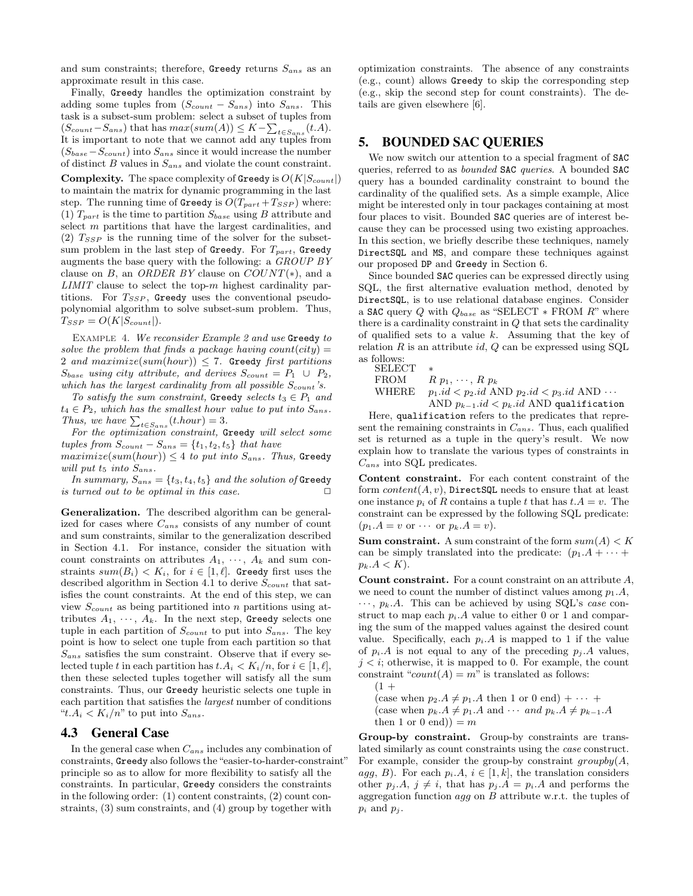and sum constraints; therefore, Greedy returns  $S_{ans}$  as an approximate result in this case.

Finally, Greedy handles the optimization constraint by adding some tuples from  $(S_{count} - S_{ans})$  into  $S_{ans}$ . This task is a subset-sum problem: select a subset of tuples from  $(S_{count}-S_{ans})$  that has  $max(sum(A)) \leq K - \sum_{t \in S_{ans}} (t.A).$ It is important to note that we cannot add any tuples from  $(S_{base} - S_{count})$  into  $S_{ans}$  since it would increase the number of distinct B values in  $S_{ans}$  and violate the count constraint.

**Complexity.** The space complexity of Greedy is  $O(K|S_{count}|)$ to maintain the matrix for dynamic programming in the last step. The running time of Greedy is  $O(T_{part} + T_{SSP})$  where: (1)  $T_{part}$  is the time to partition  $S_{base}$  using B attribute and select m partitions that have the largest cardinalities, and (2)  $T_{SSP}$  is the running time of the solver for the subsetsum problem in the last step of Greedy. For  $T_{part}$ , Greedy augments the base query with the following: a GROUP BY clause on B, an ORDER BY clause on  $COUNT(*)$ , and a LIMIT clause to select the top-m highest cardinality partitions. For  $T_{SSP}$ , Greedy uses the conventional pseudopolynomial algorithm to solve subset-sum problem. Thus,  $T_{SSP} = O(K|S_{count}|).$ 

Example 4. We reconsider Example 2 and use Greedy to solve the problem that finds a package having count  $\left(\text{city}\right) =$ 2 and  $maximize(sum(hour)) \le 7$ . Greedy first partitions  $S_{base}$  using city attribute, and derives  $S_{count} = P_1 \cup P_2$ , which has the largest cardinality from all possible  $S_{count}$ 's.

To satisfy the sum constraint, Greedy selects  $t_3 \in P_1$  and  $t_4 \in P_2$ , which has the smallest hour value to put into  $S_{ans}$ .  $t_4 \in P_2$ , which has the smallest nour<br>Thus, we have  $\sum_{t \in S_{ans}} (t \cdot hour) = 3$ .

For the optimization constraint, Greedy will select some tuples from  $S_{count} - S_{ans} = \{t_1, t_2, t_5\}$  that have  $maximize(sum(hour)) \leq 4$  to put into  $S_{ans}$ . Thus, Greedy

will put  $t_5$  into  $S_{ans}$ .

In summary,  $S_{ans} = \{t_3, t_4, t_5\}$  and the solution of Greedy  $is turned out to be optimal in this case.$ 

Generalization. The described algorithm can be generalized for cases where  $C_{ans}$  consists of any number of count and sum constraints, similar to the generalization described in Section 4.1. For instance, consider the situation with count constraints on attributes  $A_1, \cdots, A_k$  and sum constraints  $sum(B_i) < K_i$ , for  $i \in [1, \ell]$ . Greedy first uses the described algorithm in Section 4.1 to derive  $S_{count}$  that satisfies the count constraints. At the end of this step, we can view  $S_{count}$  as being partitioned into n partitions using attributes  $A_1, \dots, A_k$ . In the next step, Greedy selects one tuple in each partition of  $S_{count}$  to put into  $S_{ans}$ . The key point is how to select one tuple from each partition so that  $S_{ans}$  satisfies the sum constraint. Observe that if every selected tuple t in each partition has  $t.A_i < K_i/n$ , for  $i \in [1, \ell],$ then these selected tuples together will satisfy all the sum constraints. Thus, our Greedy heuristic selects one tuple in each partition that satisfies the largest number of conditions " $t.A_i < K_i/n$ " to put into  $S_{ans}$ .

# 4.3 General Case

In the general case when  $C_{ans}$  includes any combination of constraints, Greedy also follows the"easier-to-harder-constraint" principle so as to allow for more flexibility to satisfy all the constraints. In particular, Greedy considers the constraints in the following order: (1) content constraints, (2) count constraints, (3) sum constraints, and (4) group by together with

optimization constraints. The absence of any constraints (e.g., count) allows Greedy to skip the corresponding step (e.g., skip the second step for count constraints). The details are given elsewhere [6].

# 5. BOUNDED SAC QUERIES

We now switch our attention to a special fragment of SAC queries, referred to as bounded SAC queries. A bounded SAC query has a bounded cardinality constraint to bound the cardinality of the qualified sets. As a simple example, Alice might be interested only in tour packages containing at most four places to visit. Bounded SAC queries are of interest because they can be processed using two existing approaches. In this section, we briefly describe these techniques, namely DirectSQL and MS, and compare these techniques against our proposed DP and Greedy in Section 6.

Since bounded SAC queries can be expressed directly using SQL, the first alternative evaluation method, denoted by DirectSQL, is to use relational database engines. Consider a  ${\tt SAC}$  query  $Q$  with  $Q_{base}$  as "SELECT  $*$  FROM  $R$  " where there is a cardinality constraint in  $Q$  that sets the cardinality of qualified sets to a value  $k$ . Assuming that the key of relation  $R$  is an attribute id,  $Q$  can be expressed using SQL as follows:

SELECT 
$$
\ast
$$

FROM  $R p_1, \cdots, R p_k$ 

WHERE  $p_1.id < p_2.id$  AND  $p_2.id < p_3.id$  AND  $\cdots$ 

AND  $p_{k-1}.id < p_k.id$  AND qualification Here, qualification refers to the predicates that represent the remaining constraints in  $C_{ans}$ . Thus, each qualified set is returned as a tuple in the query's result. We now explain how to translate the various types of constraints in  $C_{ans}$  into SQL predicates.

Content constraint. For each content constraint of the form  $content(A, v)$ , DirectSQL needs to ensure that at least one instance  $p_i$  of R contains a tuple t that has  $t.A = v$ . The constraint can be expressed by the following SQL predicate:  $(p_1.A = v \text{ or } \cdots \text{ or } p_k.A = v).$ 

**Sum constraint.** A sum constraint of the form  $sum(A) < K$ can be simply translated into the predicate:  $(p_1.A + \cdots +$  $p_k.A < K$ ).

Count constraint. For a count constraint on an attribute A, we need to count the number of distinct values among  $p_1.A$ ,  $\cdots$ ,  $p_k.A$ . This can be achieved by using SQL's *case* construct to map each  $p_i$ . A value to either 0 or 1 and comparing the sum of the mapped values against the desired count value. Specifically, each  $p_i \cdot A$  is mapped to 1 if the value of  $p_i.A$  is not equal to any of the preceding  $p_i.A$  values,  $j < i$ ; otherwise, it is mapped to 0. For example, the count constraint " $count(A) = m$ " is translated as follows:  $(1 +$ 

(case when  $p_2.A \neq p_1.A$  then 1 or 0 end) +  $\cdots$  + (case when  $p_k.A \neq p_1.A$  and  $\cdots$  and  $p_k.A \neq p_{k-1}.A$ then 1 or 0 end)) =  $m$ 

Group-by constraint. Group-by constraints are translated similarly as count constraints using the case construct. For example, consider the group-by constraint  $group(y)$ . agg, B). For each  $p_i.A, i \in [1, k]$ , the translation considers other  $p_j A$ ,  $j \neq i$ , that has  $p_j A = p_i A$  and performs the aggregation function agg on B attribute w.r.t. the tuples of  $p_i$  and  $p_j$ .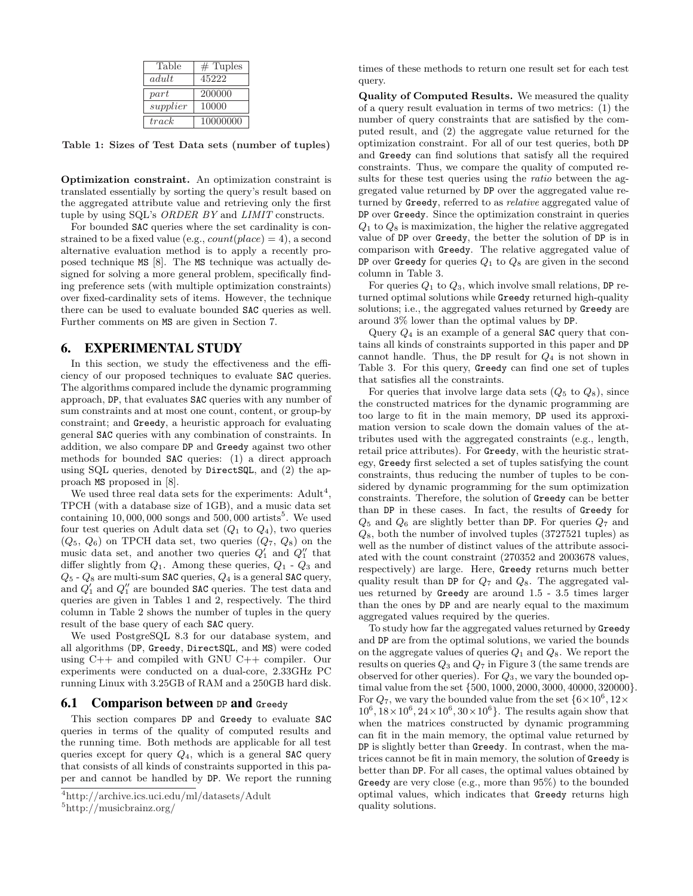| Table                 | $#$ Tuples |
|-----------------------|------------|
| adult                 | 45222      |
| part                  | 200000     |
| $\overline{supplier}$ | 10000      |
| track                 | 10000000   |

Table 1: Sizes of Test Data sets (number of tuples)

Optimization constraint. An optimization constraint is translated essentially by sorting the query's result based on the aggregated attribute value and retrieving only the first tuple by using SQL's ORDER BY and LIMIT constructs.

For bounded SAC queries where the set cardinality is constrained to be a fixed value (e.g.,  $count(place) = 4$ ), a second alternative evaluation method is to apply a recently proposed technique MS [8]. The MS technique was actually designed for solving a more general problem, specifically finding preference sets (with multiple optimization constraints) over fixed-cardinality sets of items. However, the technique there can be used to evaluate bounded SAC queries as well. Further comments on MS are given in Section 7.

# 6. EXPERIMENTAL STUDY

In this section, we study the effectiveness and the efficiency of our proposed techniques to evaluate SAC queries. The algorithms compared include the dynamic programming approach, DP, that evaluates SAC queries with any number of sum constraints and at most one count, content, or group-by constraint; and Greedy, a heuristic approach for evaluating general SAC queries with any combination of constraints. In addition, we also compare DP and Greedy against two other methods for bounded SAC queries: (1) a direct approach using SQL queries, denoted by DirectSQL, and (2) the approach MS proposed in [8].

We used three real data sets for the experiments:  $\text{Adult}^4$ , TPCH (with a database size of 1GB), and a music data set containing  $10,000,000$  songs and  $500,000$  artists<sup>5</sup>. We used four test queries on Adult data set  $(Q_1$  to  $Q_4)$ , two queries  $(Q_5, Q_6)$  on TPCH data set, two queries  $(Q_7, Q_8)$  on the music data set, and another two queries  $Q'_1$  and  $Q''_1$  that differ slightly from  $Q_1$ . Among these queries,  $Q_1$  -  $Q_3$  and  $Q_5$  -  $Q_8$  are multi-sum SAC queries,  $Q_4$  is a general SAC query, and  $Q'_1$  and  $Q''_1$  are bounded **SAC** queries. The test data and queries are given in Tables 1 and 2, respectively. The third column in Table 2 shows the number of tuples in the query result of the base query of each SAC query.

We used PostgreSQL 8.3 for our database system, and all algorithms (DP, Greedy, DirectSQL, and MS) were coded using C++ and compiled with GNU C++ compiler. Our experiments were conducted on a dual-core, 2.33GHz PC running Linux with 3.25GB of RAM and a 250GB hard disk.

#### **6.1 Comparison between DP and Greedy**

This section compares DP and Greedy to evaluate SAC queries in terms of the quality of computed results and the running time. Both methods are applicable for all test queries except for query  $Q_4$ , which is a general SAC query that consists of all kinds of constraints supported in this paper and cannot be handled by DP. We report the running times of these methods to return one result set for each test query.

Quality of Computed Results. We measured the quality of a query result evaluation in terms of two metrics: (1) the number of query constraints that are satisfied by the computed result, and (2) the aggregate value returned for the optimization constraint. For all of our test queries, both DP and Greedy can find solutions that satisfy all the required constraints. Thus, we compare the quality of computed results for these test queries using the *ratio* between the aggregated value returned by DP over the aggregated value returned by Greedy, referred to as *relative* aggregated value of DP over Greedy. Since the optimization constraint in queries  $Q_1$  to  $Q_8$  is maximization, the higher the relative aggregated value of DP over Greedy, the better the solution of DP is in comparison with Greedy. The relative aggregated value of DP over Greedy for queries  $Q_1$  to  $Q_8$  are given in the second column in Table 3.

For queries  $Q_1$  to  $Q_3$ , which involve small relations, DP returned optimal solutions while Greedy returned high-quality solutions; i.e., the aggregated values returned by Greedy are around 3% lower than the optimal values by DP.

Query  $Q_4$  is an example of a general SAC query that contains all kinds of constraints supported in this paper and DP cannot handle. Thus, the DP result for  $Q_4$  is not shown in Table 3. For this query, Greedy can find one set of tuples that satisfies all the constraints.

For queries that involve large data sets  $(Q_5 \text{ to } Q_8)$ , since the constructed matrices for the dynamic programming are too large to fit in the main memory, DP used its approximation version to scale down the domain values of the attributes used with the aggregated constraints (e.g., length, retail price attributes). For Greedy, with the heuristic strategy, Greedy first selected a set of tuples satisfying the count constraints, thus reducing the number of tuples to be considered by dynamic programming for the sum optimization constraints. Therefore, the solution of Greedy can be better than DP in these cases. In fact, the results of Greedy for  $Q_5$  and  $Q_6$  are slightly better than DP. For queries  $Q_7$  and  $Q_8$ , both the number of involved tuples (3727521 tuples) as well as the number of distinct values of the attribute associated with the count constraint (270352 and 2003678 values, respectively) are large. Here, Greedy returns much better quality result than DP for  $Q_7$  and  $Q_8$ . The aggregated values returned by Greedy are around 1.5 - 3.5 times larger than the ones by DP and are nearly equal to the maximum aggregated values required by the queries.

To study how far the aggregated values returned by Greedy and DP are from the optimal solutions, we varied the bounds on the aggregate values of queries  $Q_1$  and  $Q_8$ . We report the results on queries  $Q_3$  and  $Q_7$  in Figure 3 (the same trends are observed for other queries). For  $Q_3$ , we vary the bounded optimal value from the set {500, 1000, 2000, 3000, 40000, 320000}. For  $Q_7$ , we vary the bounded value from the set  ${6 \times 10^6, 12 \times}$  $10^6$ ,  $18 \times 10^6$ ,  $24 \times 10^6$ ,  $30 \times 10^6$ . The results again show that when the matrices constructed by dynamic programming can fit in the main memory, the optimal value returned by DP is slightly better than Greedy. In contrast, when the matrices cannot be fit in main memory, the solution of Greedy is better than DP. For all cases, the optimal values obtained by Greedy are very close (e.g., more than 95%) to the bounded optimal values, which indicates that Greedy returns high quality solutions.

<sup>4</sup>http://archive.ics.uci.edu/ml/datasets/Adult

<sup>5</sup>http://musicbrainz.org/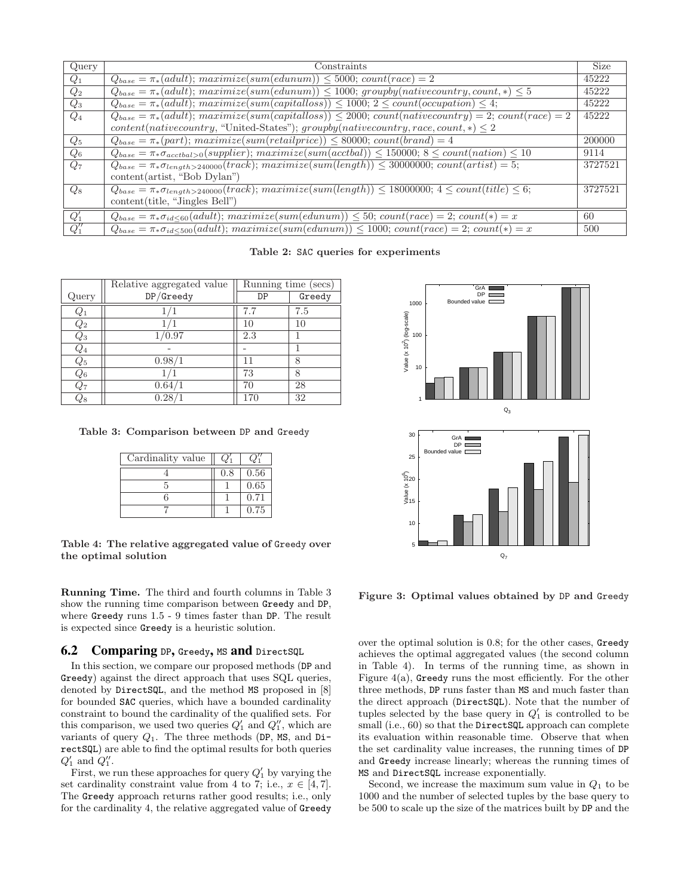| Query   | Constraints                                                                                                              | <b>Size</b> |
|---------|--------------------------------------------------------------------------------------------------------------------------|-------------|
| $Q_1$   | $Q_{base} = \pi_*(adult);$ maximize(sum(edunum)) $\leq$ 5000; count(race) = 2                                            | 45222       |
| $Q_2$   | $Q_{base} = \pi_{*}(adult);$ maximize(sum(edunum)) $\leq 1000;$ groupby(nativecountry, count, $*) \leq 5$                | 45222       |
| $Q_3$   | $Q_{base} = \pi_*(adult);$ maximize(sum(capitalloss)) $\leq 1000;$ 2 $\leq$ count(occupation) $\leq 4;$                  | 45222       |
| $Q_4$   | $Q_{base} = \pi_*(adult);$ $maximize(sum(capital loss)) \leq 2000;$ $count(native country) = 2;$ $count(race) = 2$       | 45222       |
|         | $content(native country, "United-States"); group by (native country, race, count, *) \leq 2$                             |             |
| $Q_5$   | $Q_{base} = \pi_*(part);$ maximize(sum(retailprice)) $\leq 80000$ ; count(brand) = 4                                     | 200000      |
| $Q_6$   | $Q_{base} = \pi * \sigma_{accibal>0}(supplier);$ maximize(sum(acctbal)) $\leq 150000;$ $8 \leq count(nation) \leq 10$    | 9114        |
| $Q_7$   | $Q_{base} = \pi * \sigma_{length \geq 240000}(track); maximize(sum(lenath)) \leq 30000000; count(artist) = 5;$           | 3727521     |
|         | content(artist, "Bob Dylan")                                                                                             |             |
| $Q_8$   | $Q_{base} = \pi * \sigma_{length > 240000}(track);$ maximize(sum(length)) $\leq$ 18000000; $4 \leq count(title) \leq 6;$ | 3727521     |
|         | content (title, "Jingles Bell")                                                                                          |             |
| $Q'_1$  | $Q_{base} = \pi_* \sigma_{id \leq 60}(adult);$ maximize(sum(edunum)) $\leq 50$ ; count(race) = 2; count(*) = x           | -60         |
| $Q''_1$ | $Q_{base} = \pi * \sigma_{id \leq 500}(adult);$ maximize(sum(edunum)) $\leq 1000;$ count(race) = 2; count(*) = x         | 500         |

Table 2: SAC queries for experiments

|                   | Relative aggregated value | Running time (secs) |        |  |  |
|-------------------|---------------------------|---------------------|--------|--|--|
| Query             | DP/Greedy                 | DP                  | Greedy |  |  |
| $\,_{1}$          |                           | 7.7                 | 7.5    |  |  |
| $\,_{2}$          |                           | 10                  | 10     |  |  |
| $Q_3$             | 1/0.97                    | 2.3                 |        |  |  |
| $Q_4$             |                           |                     |        |  |  |
| $Q_5$             | 0.98/1                    | 11                  | 8      |  |  |
| $Q_6$             |                           | 73                  | 8      |  |  |
| $Q_7$             | 0.64/1                    | 70                  | 28     |  |  |
| $\mathcal{Q}_{8}$ | 0.28                      | 170                 | 32     |  |  |

Table 3: Comparison between DP and Greedy

| Cardinality value |     |      |
|-------------------|-----|------|
|                   | 0.8 | 0.56 |
|                   |     | 0.65 |
|                   |     | 0.71 |
|                   |     | 0.75 |

Table 4: The relative aggregated value of Greedy over the optimal solution

Running Time. The third and fourth columns in Table 3 show the running time comparison between Greedy and DP, where Greedy runs 1.5 - 9 times faster than DP. The result is expected since Greedy is a heuristic solution.

#### **6.2 Comparing** DP, Greedy, MS and DirectSQL

In this section, we compare our proposed methods (DP and Greedy) against the direct approach that uses SQL queries, denoted by DirectSQL, and the method MS proposed in [8] for bounded SAC queries, which have a bounded cardinality constraint to bound the cardinality of the qualified sets. For this comparison, we used two queries  $Q'_1$  and  $Q''_1$ , which are variants of query  $Q_1$ . The three methods (DP, MS, and DirectSQL) are able to find the optimal results for both queries  $Q'_1$  and  $Q''_1$ .

First, we run these approaches for query  $Q'_1$  by varying the set cardinality constraint value from 4 to 7; i.e.,  $x \in [4, 7]$ . The Greedy approach returns rather good results; i.e., only for the cardinality 4, the relative aggregated value of Greedy



Figure 3: Optimal values obtained by DP and Greedy

over the optimal solution is 0.8; for the other cases, Greedy achieves the optimal aggregated values (the second column in Table 4). In terms of the running time, as shown in Figure  $4(a)$ , Greedy runs the most efficiently. For the other three methods, DP runs faster than MS and much faster than the direct approach (DirectSQL). Note that the number of tuples selected by the base query in  $Q'_1$  is controlled to be small (i.e., 60) so that the DirectSQL approach can complete its evaluation within reasonable time. Observe that when the set cardinality value increases, the running times of DP and Greedy increase linearly; whereas the running times of MS and DirectSQL increase exponentially.

Second, we increase the maximum sum value in  $Q_1$  to be 1000 and the number of selected tuples by the base query to be 500 to scale up the size of the matrices built by DP and the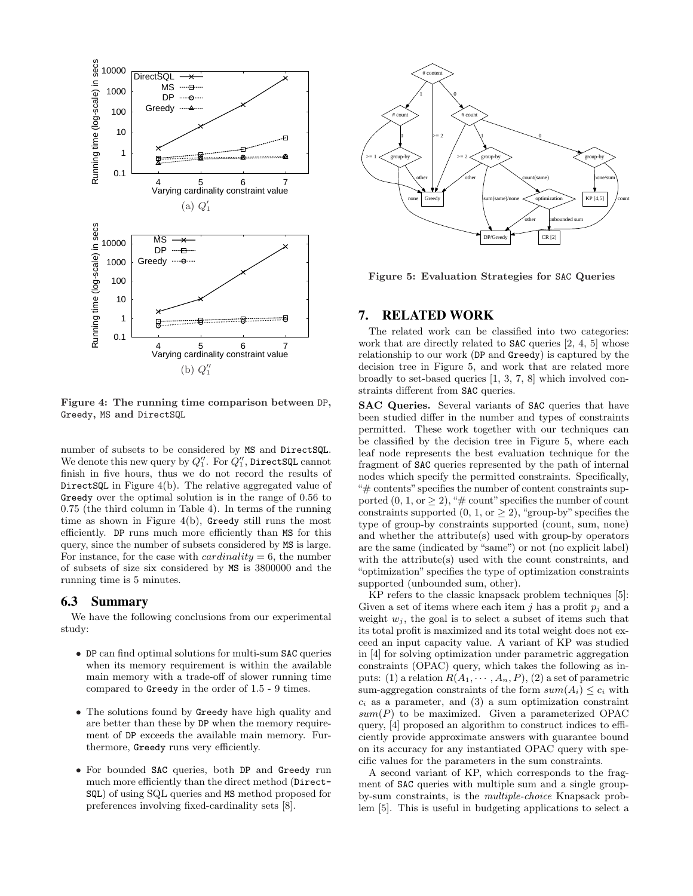

Figure 4: The running time comparison between DP, Greedy, MS and DirectSQL

number of subsets to be considered by MS and DirectSQL. We denote this new query by  $Q''_1$ . For  $Q''_1$ , <code>DirectSQL</code> cannot finish in five hours, thus we do not record the results of DirectSQL in Figure 4(b). The relative aggregated value of Greedy over the optimal solution is in the range of 0.56 to 0.75 (the third column in Table 4). In terms of the running time as shown in Figure 4(b), Greedy still runs the most efficiently. DP runs much more efficiently than MS for this query, since the number of subsets considered by MS is large. For instance, for the case with *cardinality*  $= 6$ , the number of subsets of size six considered by MS is 3800000 and the running time is 5 minutes.

#### 6.3 Summary

We have the following conclusions from our experimental study:

- DP can find optimal solutions for multi-sum SAC queries when its memory requirement is within the available main memory with a trade-off of slower running time compared to Greedy in the order of 1.5 - 9 times.
- The solutions found by Greedy have high quality and are better than these by DP when the memory requirement of DP exceeds the available main memory. Furthermore, Greedy runs very efficiently.
- For bounded SAC queries, both DP and Greedy run much more efficiently than the direct method (Direct-SQL) of using SQL queries and MS method proposed for preferences involving fixed-cardinality sets [8].



Figure 5: Evaluation Strategies for SAC Queries

# 7. RELATED WORK

The related work can be classified into two categories: work that are directly related to SAC queries [2, 4, 5] whose relationship to our work (DP and Greedy) is captured by the decision tree in Figure 5, and work that are related more broadly to set-based queries [1, 3, 7, 8] which involved constraints different from SAC queries.

SAC Queries. Several variants of SAC queries that have been studied differ in the number and types of constraints permitted. These work together with our techniques can be classified by the decision tree in Figure 5, where each leaf node represents the best evaluation technique for the fragment of SAC queries represented by the path of internal nodes which specify the permitted constraints. Specifically, "# contents" specifies the number of content constraints supported  $(0, 1, \text{or } \geq 2)$ , "# count" specifies the number of count constraints supported  $(0, 1, \text{or } \geq 2)$ , "group-by" specifies the type of group-by constraints supported (count, sum, none) and whether the attribute(s) used with group-by operators are the same (indicated by "same") or not (no explicit label) with the attribute(s) used with the count constraints, and "optimization" specifies the type of optimization constraints supported (unbounded sum, other).

KP refers to the classic knapsack problem techniques [5]: Given a set of items where each item j has a profit  $p_i$  and a weight  $w_i$ , the goal is to select a subset of items such that its total profit is maximized and its total weight does not exceed an input capacity value. A variant of KP was studied in [4] for solving optimization under parametric aggregation constraints (OPAC) query, which takes the following as inputs: (1) a relation  $R(A_1, \dots, A_n, P)$ , (2) a set of parametric sum-aggregation constraints of the form  $sum(A_i) \leq c_i$  with  $c_i$  as a parameter, and (3) a sum optimization constraint  $sum(P)$  to be maximized. Given a parameterized OPAC query, [4] proposed an algorithm to construct indices to efficiently provide approximate answers with guarantee bound on its accuracy for any instantiated OPAC query with specific values for the parameters in the sum constraints.

A second variant of KP, which corresponds to the fragment of SAC queries with multiple sum and a single groupby-sum constraints, is the multiple-choice Knapsack problem [5]. This is useful in budgeting applications to select a